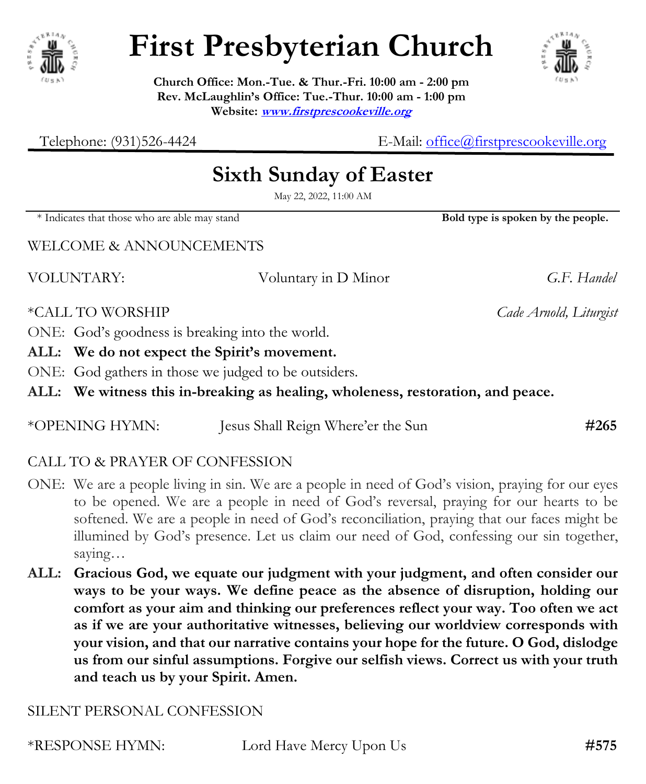

# **First Presbyterian Church**



**Church Office: Mon.-Tue. & Thur.-Fri. 10:00 am - 2:00 pm Rev. McLaughlin's Office: Tue.-Thur. 10:00 am - 1:00 pm Website: [www.firstprescookeville.org](http://www.firstprescookeville.org/)**

Telephone: (931)526-4424 E-Mail: [office@firstprescookeville.org](mailto:office@firstprescookeville.org)

## **Sixth Sunday of Easter**

May 22, 2022, 11:00 AM

\* Indicates that those who are able may stand **Bold type is spoken by the people.**

WELCOME & ANNOUNCEMENTS

VOLUNTARY: Voluntary in D Minor *G.F. Handel*

\*CALL TO WORSHIP *Cade Arnold, Liturgist*

ONE: God's goodness is breaking into the world.

**ALL: We do not expect the Spirit's movement.**

ONE: God gathers in those we judged to be outsiders.

**ALL: We witness this in-breaking as healing, wholeness, restoration, and peace.**

| #265<br>*OPENING HYMN:<br>Jesus Shall Reign Where'er the Sun |
|--------------------------------------------------------------|
|--------------------------------------------------------------|

### CALL TO & PRAYER OF CONFESSION

- ONE: We are a people living in sin. We are a people in need of God's vision, praying for our eyes to be opened. We are a people in need of God's reversal, praying for our hearts to be softened. We are a people in need of God's reconciliation, praying that our faces might be illumined by God's presence. Let us claim our need of God, confessing our sin together, saying…
- **ALL: Gracious God, we equate our judgment with your judgment, and often consider our ways to be your ways. We define peace as the absence of disruption, holding our comfort as your aim and thinking our preferences reflect your way. Too often we act as if we are your authoritative witnesses, believing our worldview corresponds with your vision, and that our narrative contains your hope for the future. O God, dislodge us from our sinful assumptions. Forgive our selfish views. Correct us with your truth and teach us by your Spirit. Amen.**

#### SILENT PERSONAL CONFESSION

\*RESPONSE HYMN: Lord Have Mercy Upon Us **#575**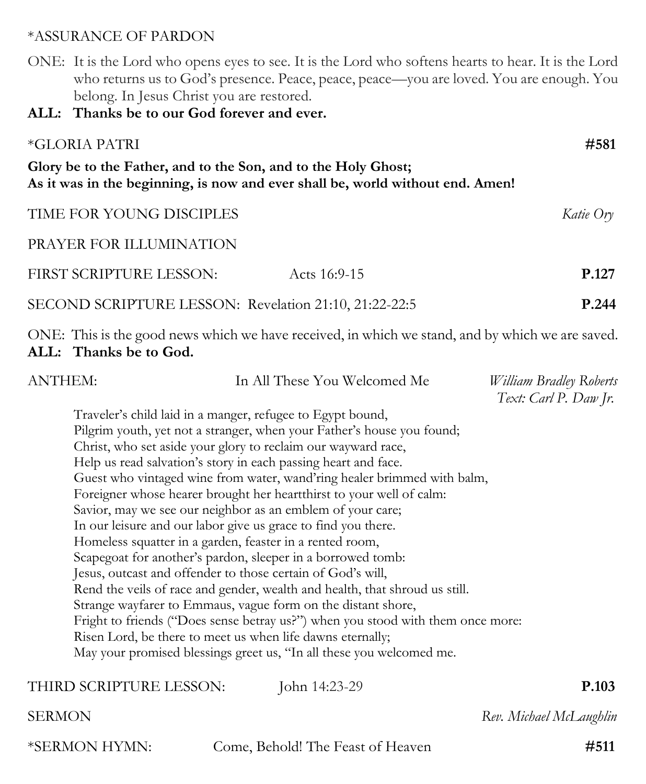#### \*ASSURANCE OF PARDON

- ONE: It is the Lord who opens eyes to see. It is the Lord who softens hearts to hear. It is the Lord who returns us to God's presence. Peace, peace, peace—you are loved. You are enough. You belong. In Jesus Christ you are restored.
- **ALL: Thanks be to our God forever and ever.**

| *GLORIA PATRI                                                  |                                                                                | #581      |
|----------------------------------------------------------------|--------------------------------------------------------------------------------|-----------|
| Glory be to the Father, and to the Son, and to the Holy Ghost; | As it was in the beginning, is now and ever shall be, world without end. Amen! |           |
| TIME FOR YOUNG DISCIPLES                                       |                                                                                | Katie Ory |
| PRAYER FOR ILLUMINATION                                        |                                                                                |           |
| FIRST SCRIPTURE LESSON:                                        | Acts $16:9-15$                                                                 | P.127     |
| SECOND SCRIPTURE LESSON: Revelation 21:10, 21:22-22:5          |                                                                                | P.244     |

ONE: This is the good news which we have received, in which we stand, and by which we are saved. **ALL: Thanks be to God.**

| <b>ANTHEM:</b> | In All These You Welcomed Me                                                    | William Bradley Roberts |
|----------------|---------------------------------------------------------------------------------|-------------------------|
|                |                                                                                 | Text: Carl P. Daw Jr.   |
|                | Traveler's child laid in a manger, refugee to Egypt bound,                      |                         |
|                | Pilgrim youth, yet not a stranger, when your Father's house you found;          |                         |
|                | Christ, who set aside your glory to reclaim our wayward race,                   |                         |
|                | Help us read salvation's story in each passing heart and face.                  |                         |
|                | Guest who vintaged wine from water, wand'ring healer brimmed with balm,         |                         |
|                | Foreigner whose hearer brought her heartthirst to your well of calm:            |                         |
|                | Savior, may we see our neighbor as an emblem of your care;                      |                         |
|                | In our leisure and our labor give us grace to find you there.                   |                         |
|                | Homeless squatter in a garden, feaster in a rented room,                        |                         |
|                | Scapegoat for another's pardon, sleeper in a borrowed tomb:                     |                         |
|                | Jesus, outcast and offender to those certain of God's will,                     |                         |
|                | Rend the veils of race and gender, wealth and health, that shroud us still.     |                         |
|                | Strange wayfarer to Emmaus, vague form on the distant shore,                    |                         |
|                | Fright to friends ("Does sense betray us?") when you stood with them once more: |                         |
|                | Risen Lord, be there to meet us when life dawns eternally;                      |                         |
|                | May your promised blessings greet us, "In all these you welcomed me.            |                         |
|                | THIRD SCRIPTURE LESSON:<br>John 14:23-29                                        | P.103                   |
|                |                                                                                 |                         |

\*SERMON HYMN: Come, Behold! The Feast of Heaven **#511**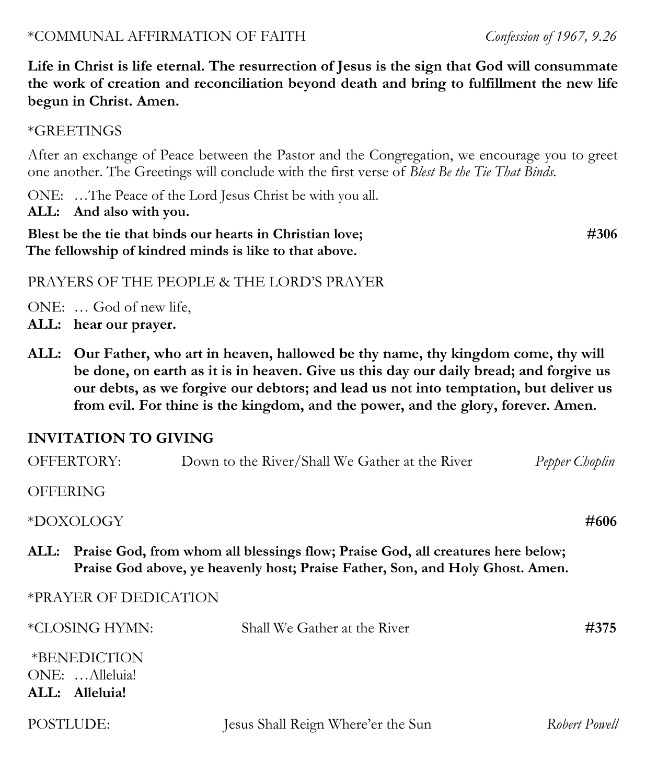#### \*COMMUNAL AFFIRMATION OF FAITH*Confession of 1967, 9.26*

**Life in Christ is life eternal. The resurrection of Jesus is the sign that God will consummate the work of creation and reconciliation beyond death and bring to fulfillment the new life begun in Christ. Amen.**

#### \*GREETINGS

After an exchange of Peace between the Pastor and the Congregation, we encourage you to greet one another. The Greetings will conclude with the first verse of *Blest Be the Tie That Binds.*

ONE: …The Peace of the Lord Jesus Christ be with you all.

#### **ALL: And also with you.**

**Blest be the tie that binds our hearts in Christian love;** #306 **The fellowship of kindred minds is like to that above.**

#### PRAYERS OF THE PEOPLE & THE LORD'S PRAYER

ONE: … God of new life,

- **ALL: hear our prayer.**
- **ALL: Our Father, who art in heaven, hallowed be thy name, thy kingdom come, thy will be done, on earth as it is in heaven. Give us this day our daily bread; and forgive us our debts, as we forgive our debtors; and lead us not into temptation, but deliver us from evil. For thine is the kingdom, and the power, and the glory, forever. Amen.**

#### **INVITATION TO GIVING**

|                 | <b>OFFERTORY:</b>                     | Down to the River/Shall We Gather at the River                                                                                                                        | Pepper Choplin |
|-----------------|---------------------------------------|-----------------------------------------------------------------------------------------------------------------------------------------------------------------------|----------------|
| <b>OFFERING</b> |                                       |                                                                                                                                                                       |                |
|                 | *DOXOLOGY                             |                                                                                                                                                                       | #606           |
|                 |                                       | ALL: Praise God, from whom all blessings flow; Praise God, all creatures here below;<br>Praise God above, ye heavenly host; Praise Father, Son, and Holy Ghost. Amen. |                |
|                 | *PRAYER OF DEDICATION                 |                                                                                                                                                                       |                |
|                 | *CLOSING HYMN:                        | Shall We Gather at the River                                                                                                                                          | #375           |
|                 | <i>*BENEDICTION</i><br>ONE: Alleluia! |                                                                                                                                                                       |                |
|                 | ALL: Alleluia!                        |                                                                                                                                                                       |                |

| POSTLUDE: | Jesus Shall Reign Where'er the Sun | Robert Powell |
|-----------|------------------------------------|---------------|
|-----------|------------------------------------|---------------|